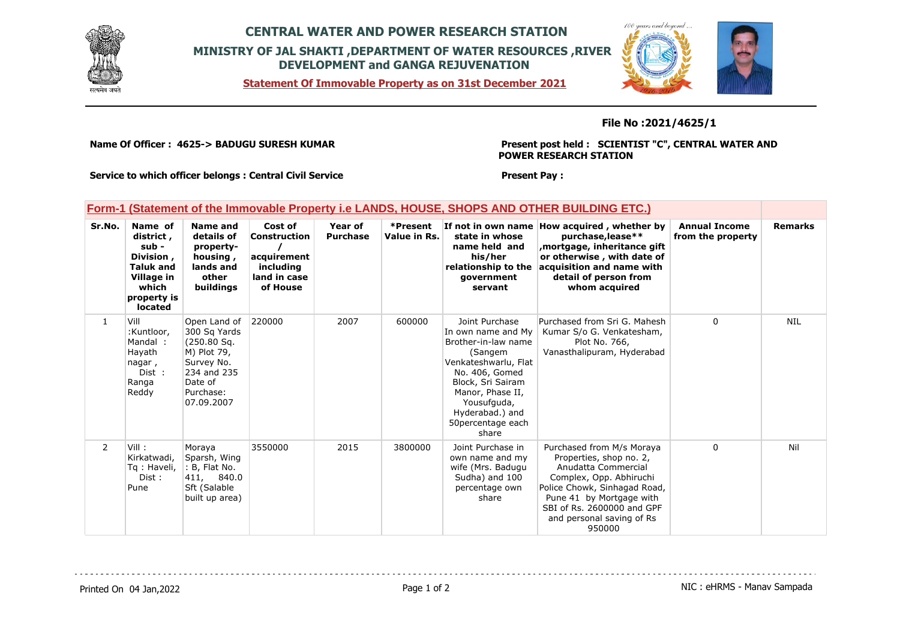

## **CENTRAL WATER AND POWER RESEARCH STATION MINISTRY OF JAL SHAKTI ,DEPARTMENT OF WATER RESOURCES ,RIVER DEVELOPMENT and GANGA REJUVENATION**

**Statement Of Immovable Property as on 31st December 2021**



### **File No :2021/4625/1**

**Name Of Officer : 4625-> BADUGU SURESH KUMAR** 

**Present post held : SCIENTIST "C", CENTRAL WATER AND POWER RESEARCH STATION**

**Service to which officer belongs : Central Civil Service**

#### **Present Pay :**

## **Form-1 (Statement of the Immovable Property i.e LANDS, HOUSE, SHOPS AND OTHER BUILDING ETC.)**

| Sr.No.         | Name of<br>district,<br>sub -<br>Division,<br><b>Taluk and</b><br>Village in<br>which<br>property is<br>located | Name and<br>details of<br>property-<br>housing,<br>lands and<br>other<br>buildings                                            | Cost of<br><b>Construction</b><br>acquirement<br>including<br>land in case<br>of House | Year of<br><b>Purchase</b> | *Present<br>Value in Rs. | If not in own name<br>state in whose<br>name held and<br>his/her<br>relationship to the<br>government<br>servant                                                                                                           | How acquired, whether by<br>purchase, lease**<br>mortgage, inheritance gift,<br>or otherwise, with date of<br>acquisition and name with<br>detail of person from<br>whom acquired                                                       | <b>Annual Income</b><br>from the property | <b>Remarks</b> |
|----------------|-----------------------------------------------------------------------------------------------------------------|-------------------------------------------------------------------------------------------------------------------------------|----------------------------------------------------------------------------------------|----------------------------|--------------------------|----------------------------------------------------------------------------------------------------------------------------------------------------------------------------------------------------------------------------|-----------------------------------------------------------------------------------------------------------------------------------------------------------------------------------------------------------------------------------------|-------------------------------------------|----------------|
| $\mathbf{1}$   | Vill<br>:Kuntloor,<br>Mandal:<br>Hayath<br>nagar,<br>Dist :<br>Ranga<br>Reddy                                   | Open Land of<br>300 Sq Yards<br>(250.80 Sg.<br>M) Plot 79,<br>Survey No.<br>234 and 235<br>Date of<br>Purchase:<br>07.09.2007 | 220000                                                                                 | 2007                       | 600000                   | Joint Purchase<br>In own name and Mv<br>Brother-in-law name<br>(Sangem<br>Venkateshwarlu, Flat<br>No. 406, Gomed<br>Block, Sri Sairam<br>Manor, Phase II,<br>Yousufquda,<br>Hyderabad.) and<br>50 percentage each<br>share | Purchased from Sri G. Mahesh<br>Kumar S/o G. Venkatesham,<br>Plot No. 766,<br>Vanasthalipuram, Hyderabad                                                                                                                                | $\Omega$                                  | <b>NIL</b>     |
| $\overline{2}$ | Vill :<br>Kirkatwadi,<br>Tg: Haveli,<br>Dist:<br>Pune                                                           | Moraya<br>Sparsh, Wing<br>: B, Flat No.<br>411, 840.0<br>Sft (Salable<br>built up area)                                       | 3550000                                                                                | 2015                       | 3800000                  | Joint Purchase in<br>own name and my<br>wife (Mrs. Badugu<br>Sudha) and 100<br>percentage own<br>share                                                                                                                     | Purchased from M/s Moraya<br>Properties, shop no. 2,<br>Anudatta Commercial<br>Complex, Opp. Abhiruchi<br>Police Chowk, Sinhagad Road,<br>Pune 41 by Mortgage with<br>SBI of Rs. 2600000 and GPF<br>and personal saving of Rs<br>950000 | $\Omega$                                  | Nil            |

Printed On 04 Jan, 2022 2001 12:00 Page 1 of 2 Page 1 of 2 NIC : eHRMS - Manav Sampada